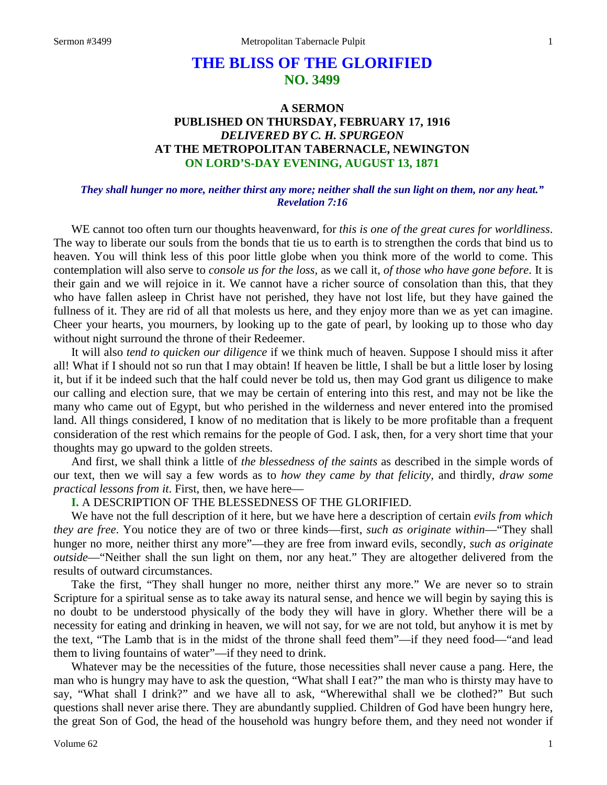# **THE BLISS OF THE GLORIFIED NO. 3499**

# **A SERMON PUBLISHED ON THURSDAY, FEBRUARY 17, 1916** *DELIVERED BY C. H. SPURGEON* **AT THE METROPOLITAN TABERNACLE, NEWINGTON ON LORD'S-DAY EVENING, AUGUST 13, 1871**

### *They shall hunger no more, neither thirst any more; neither shall the sun light on them, nor any heat." Revelation 7:16*

WE cannot too often turn our thoughts heavenward, for *this is one of the great cures for worldliness*. The way to liberate our souls from the bonds that tie us to earth is to strengthen the cords that bind us to heaven. You will think less of this poor little globe when you think more of the world to come. This contemplation will also serve to *console us for the loss,* as we call it, *of those who have gone before*. It is their gain and we will rejoice in it. We cannot have a richer source of consolation than this, that they who have fallen asleep in Christ have not perished, they have not lost life, but they have gained the fullness of it. They are rid of all that molests us here, and they enjoy more than we as yet can imagine. Cheer your hearts, you mourners, by looking up to the gate of pearl, by looking up to those who day without night surround the throne of their Redeemer.

It will also *tend to quicken our diligence* if we think much of heaven. Suppose I should miss it after all! What if I should not so run that I may obtain! If heaven be little, I shall be but a little loser by losing it, but if it be indeed such that the half could never be told us, then may God grant us diligence to make our calling and election sure, that we may be certain of entering into this rest, and may not be like the many who came out of Egypt, but who perished in the wilderness and never entered into the promised land. All things considered, I know of no meditation that is likely to be more profitable than a frequent consideration of the rest which remains for the people of God. I ask, then, for a very short time that your thoughts may go upward to the golden streets.

And first, we shall think a little of *the blessedness of the saints* as described in the simple words of our text, then we will say a few words as to *how they came by that felicity,* and thirdly, *draw some practical lessons from it*. First, then, we have here—

## **I.** A DESCRIPTION OF THE BLESSEDNESS OF THE GLORIFIED.

We have not the full description of it here, but we have here a description of certain *evils from which they are free*. You notice they are of two or three kinds—first, *such as originate within*—"They shall hunger no more, neither thirst any more"—they are free from inward evils, secondly, *such as originate outside*—"Neither shall the sun light on them, nor any heat." They are altogether delivered from the results of outward circumstances.

Take the first, "They shall hunger no more, neither thirst any more." We are never so to strain Scripture for a spiritual sense as to take away its natural sense, and hence we will begin by saying this is no doubt to be understood physically of the body they will have in glory. Whether there will be a necessity for eating and drinking in heaven, we will not say, for we are not told, but anyhow it is met by the text, "The Lamb that is in the midst of the throne shall feed them"—if they need food—"and lead them to living fountains of water"—if they need to drink.

Whatever may be the necessities of the future, those necessities shall never cause a pang. Here, the man who is hungry may have to ask the question, "What shall I eat?" the man who is thirsty may have to say, "What shall I drink?" and we have all to ask, "Wherewithal shall we be clothed?" But such questions shall never arise there. They are abundantly supplied. Children of God have been hungry here, the great Son of God, the head of the household was hungry before them, and they need not wonder if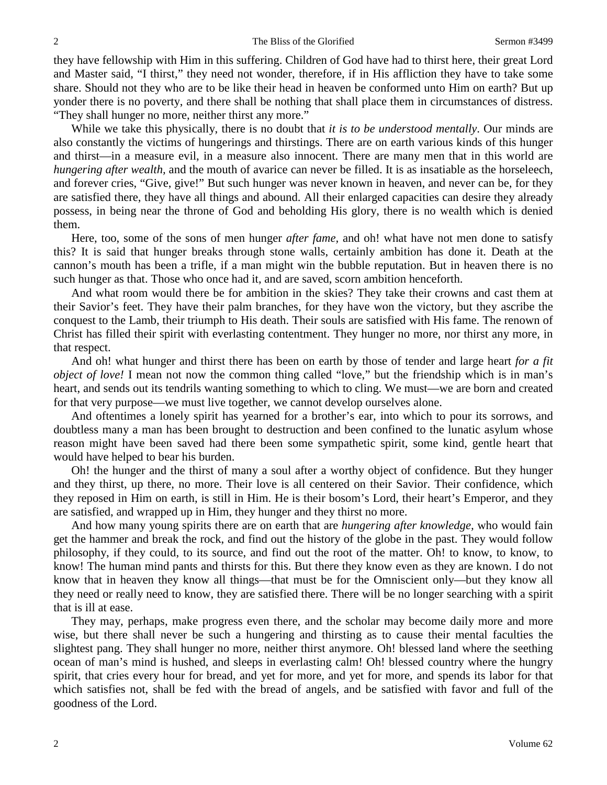they have fellowship with Him in this suffering. Children of God have had to thirst here, their great Lord and Master said, "I thirst," they need not wonder, therefore, if in His affliction they have to take some share. Should not they who are to be like their head in heaven be conformed unto Him on earth? But up yonder there is no poverty, and there shall be nothing that shall place them in circumstances of distress. "They shall hunger no more, neither thirst any more."

While we take this physically, there is no doubt that *it is to be understood mentally*. Our minds are also constantly the victims of hungerings and thirstings. There are on earth various kinds of this hunger and thirst—in a measure evil, in a measure also innocent. There are many men that in this world are *hungering after wealth,* and the mouth of avarice can never be filled. It is as insatiable as the horseleech, and forever cries, "Give, give!" But such hunger was never known in heaven, and never can be, for they are satisfied there, they have all things and abound. All their enlarged capacities can desire they already possess, in being near the throne of God and beholding His glory, there is no wealth which is denied them.

Here, too, some of the sons of men hunger *after fame,* and oh! what have not men done to satisfy this? It is said that hunger breaks through stone walls, certainly ambition has done it. Death at the cannon's mouth has been a trifle, if a man might win the bubble reputation. But in heaven there is no such hunger as that. Those who once had it, and are saved, scorn ambition henceforth.

And what room would there be for ambition in the skies? They take their crowns and cast them at their Savior's feet. They have their palm branches, for they have won the victory, but they ascribe the conquest to the Lamb, their triumph to His death. Their souls are satisfied with His fame. The renown of Christ has filled their spirit with everlasting contentment. They hunger no more, nor thirst any more, in that respect.

And oh! what hunger and thirst there has been on earth by those of tender and large heart *for a fit object of love!* I mean not now the common thing called "love," but the friendship which is in man's heart, and sends out its tendrils wanting something to which to cling. We must—we are born and created for that very purpose—we must live together, we cannot develop ourselves alone.

And oftentimes a lonely spirit has yearned for a brother's ear, into which to pour its sorrows, and doubtless many a man has been brought to destruction and been confined to the lunatic asylum whose reason might have been saved had there been some sympathetic spirit, some kind, gentle heart that would have helped to bear his burden.

Oh! the hunger and the thirst of many a soul after a worthy object of confidence. But they hunger and they thirst, up there, no more. Their love is all centered on their Savior. Their confidence, which they reposed in Him on earth, is still in Him. He is their bosom's Lord, their heart's Emperor, and they are satisfied, and wrapped up in Him, they hunger and they thirst no more.

And how many young spirits there are on earth that are *hungering after knowledge,* who would fain get the hammer and break the rock, and find out the history of the globe in the past. They would follow philosophy, if they could, to its source, and find out the root of the matter. Oh! to know, to know, to know! The human mind pants and thirsts for this. But there they know even as they are known. I do not know that in heaven they know all things—that must be for the Omniscient only—but they know all they need or really need to know, they are satisfied there. There will be no longer searching with a spirit that is ill at ease.

They may, perhaps, make progress even there, and the scholar may become daily more and more wise, but there shall never be such a hungering and thirsting as to cause their mental faculties the slightest pang. They shall hunger no more, neither thirst anymore. Oh! blessed land where the seething ocean of man's mind is hushed, and sleeps in everlasting calm! Oh! blessed country where the hungry spirit, that cries every hour for bread, and yet for more, and yet for more, and spends its labor for that which satisfies not, shall be fed with the bread of angels, and be satisfied with favor and full of the goodness of the Lord.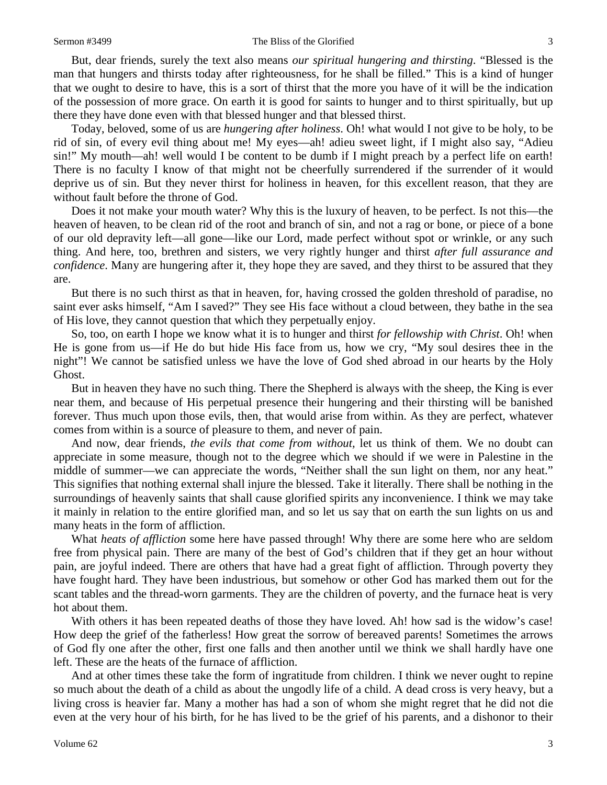#### Sermon #3499 The Bliss of the Glorified 3

But, dear friends, surely the text also means *our spiritual hungering and thirsting*. "Blessed is the man that hungers and thirsts today after righteousness, for he shall be filled." This is a kind of hunger that we ought to desire to have, this is a sort of thirst that the more you have of it will be the indication of the possession of more grace. On earth it is good for saints to hunger and to thirst spiritually, but up there they have done even with that blessed hunger and that blessed thirst.

Today, beloved, some of us are *hungering after holiness*. Oh! what would I not give to be holy, to be rid of sin, of every evil thing about me! My eyes—ah! adieu sweet light, if I might also say, "Adieu sin!" My mouth—ah! well would I be content to be dumb if I might preach by a perfect life on earth! There is no faculty I know of that might not be cheerfully surrendered if the surrender of it would deprive us of sin. But they never thirst for holiness in heaven, for this excellent reason, that they are without fault before the throne of God.

Does it not make your mouth water? Why this is the luxury of heaven, to be perfect. Is not this—the heaven of heaven, to be clean rid of the root and branch of sin, and not a rag or bone, or piece of a bone of our old depravity left—all gone—like our Lord, made perfect without spot or wrinkle, or any such thing. And here, too, brethren and sisters, we very rightly hunger and thirst *after full assurance and confidence*. Many are hungering after it, they hope they are saved, and they thirst to be assured that they are.

But there is no such thirst as that in heaven, for, having crossed the golden threshold of paradise, no saint ever asks himself, "Am I saved?" They see His face without a cloud between, they bathe in the sea of His love, they cannot question that which they perpetually enjoy.

So, too, on earth I hope we know what it is to hunger and thirst *for fellowship with Christ*. Oh! when He is gone from us—if He do but hide His face from us, how we cry, "My soul desires thee in the night"! We cannot be satisfied unless we have the love of God shed abroad in our hearts by the Holy Ghost.

But in heaven they have no such thing. There the Shepherd is always with the sheep, the King is ever near them, and because of His perpetual presence their hungering and their thirsting will be banished forever. Thus much upon those evils, then, that would arise from within. As they are perfect, whatever comes from within is a source of pleasure to them, and never of pain.

And now, dear friends, *the evils that come from without,* let us think of them. We no doubt can appreciate in some measure, though not to the degree which we should if we were in Palestine in the middle of summer—we can appreciate the words, "Neither shall the sun light on them, nor any heat." This signifies that nothing external shall injure the blessed. Take it literally. There shall be nothing in the surroundings of heavenly saints that shall cause glorified spirits any inconvenience. I think we may take it mainly in relation to the entire glorified man, and so let us say that on earth the sun lights on us and many heats in the form of affliction.

What *heats of affliction* some here have passed through! Why there are some here who are seldom free from physical pain. There are many of the best of God's children that if they get an hour without pain, are joyful indeed. There are others that have had a great fight of affliction. Through poverty they have fought hard. They have been industrious, but somehow or other God has marked them out for the scant tables and the thread-worn garments. They are the children of poverty, and the furnace heat is very hot about them.

With others it has been repeated deaths of those they have loved. Ah! how sad is the widow's case! How deep the grief of the fatherless! How great the sorrow of bereaved parents! Sometimes the arrows of God fly one after the other, first one falls and then another until we think we shall hardly have one left. These are the heats of the furnace of affliction.

And at other times these take the form of ingratitude from children. I think we never ought to repine so much about the death of a child as about the ungodly life of a child. A dead cross is very heavy, but a living cross is heavier far. Many a mother has had a son of whom she might regret that he did not die even at the very hour of his birth, for he has lived to be the grief of his parents, and a dishonor to their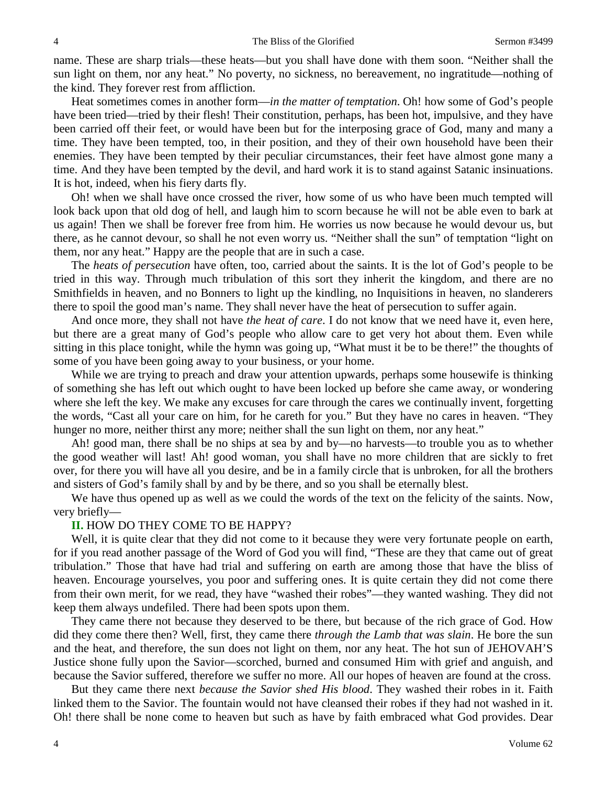name. These are sharp trials—these heats—but you shall have done with them soon. "Neither shall the sun light on them, nor any heat." No poverty, no sickness, no bereavement, no ingratitude—nothing of the kind. They forever rest from affliction.

Heat sometimes comes in another form—*in the matter of temptation*. Oh! how some of God's people have been tried—tried by their flesh! Their constitution, perhaps, has been hot, impulsive, and they have been carried off their feet, or would have been but for the interposing grace of God, many and many a time. They have been tempted, too, in their position, and they of their own household have been their enemies. They have been tempted by their peculiar circumstances, their feet have almost gone many a time. And they have been tempted by the devil, and hard work it is to stand against Satanic insinuations. It is hot, indeed, when his fiery darts fly.

Oh! when we shall have once crossed the river, how some of us who have been much tempted will look back upon that old dog of hell, and laugh him to scorn because he will not be able even to bark at us again! Then we shall be forever free from him. He worries us now because he would devour us, but there, as he cannot devour, so shall he not even worry us. "Neither shall the sun" of temptation "light on them, nor any heat." Happy are the people that are in such a case.

The *heats of persecution* have often, too, carried about the saints. It is the lot of God's people to be tried in this way. Through much tribulation of this sort they inherit the kingdom, and there are no Smithfields in heaven, and no Bonners to light up the kindling, no Inquisitions in heaven, no slanderers there to spoil the good man's name. They shall never have the heat of persecution to suffer again.

And once more, they shall not have *the heat of care*. I do not know that we need have it, even here, but there are a great many of God's people who allow care to get very hot about them. Even while sitting in this place tonight, while the hymn was going up, "What must it be to be there!" the thoughts of some of you have been going away to your business, or your home.

While we are trying to preach and draw your attention upwards, perhaps some housewife is thinking of something she has left out which ought to have been locked up before she came away, or wondering where she left the key. We make any excuses for care through the cares we continually invent, forgetting the words, "Cast all your care on him, for he careth for you." But they have no cares in heaven. "They hunger no more, neither thirst any more; neither shall the sun light on them, nor any heat."

Ah! good man, there shall be no ships at sea by and by—no harvests—to trouble you as to whether the good weather will last! Ah! good woman, you shall have no more children that are sickly to fret over, for there you will have all you desire, and be in a family circle that is unbroken, for all the brothers and sisters of God's family shall by and by be there, and so you shall be eternally blest.

We have thus opened up as well as we could the words of the text on the felicity of the saints. Now, very briefly—

### **II.** HOW DO THEY COME TO BE HAPPY?

Well, it is quite clear that they did not come to it because they were very fortunate people on earth, for if you read another passage of the Word of God you will find, "These are they that came out of great tribulation." Those that have had trial and suffering on earth are among those that have the bliss of heaven. Encourage yourselves, you poor and suffering ones. It is quite certain they did not come there from their own merit, for we read, they have "washed their robes"—they wanted washing. They did not keep them always undefiled. There had been spots upon them.

They came there not because they deserved to be there, but because of the rich grace of God. How did they come there then? Well, first, they came there *through the Lamb that was slain*. He bore the sun and the heat, and therefore, the sun does not light on them, nor any heat. The hot sun of JEHOVAH'S Justice shone fully upon the Savior—scorched, burned and consumed Him with grief and anguish, and because the Savior suffered, therefore we suffer no more. All our hopes of heaven are found at the cross.

But they came there next *because the Savior shed His blood*. They washed their robes in it. Faith linked them to the Savior. The fountain would not have cleansed their robes if they had not washed in it. Oh! there shall be none come to heaven but such as have by faith embraced what God provides. Dear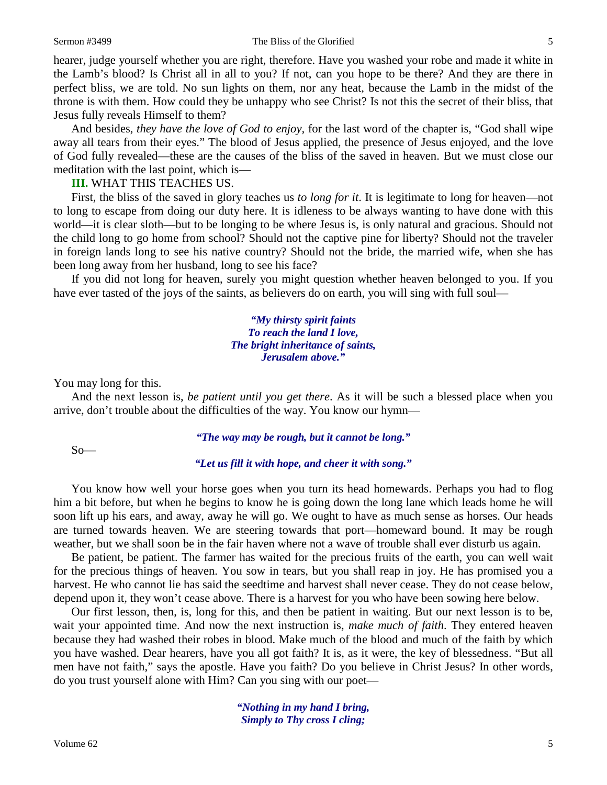#### Sermon #3499 The Bliss of the Glorified 5

hearer, judge yourself whether you are right, therefore. Have you washed your robe and made it white in the Lamb's blood? Is Christ all in all to you? If not, can you hope to be there? And they are there in perfect bliss, we are told. No sun lights on them, nor any heat, because the Lamb in the midst of the throne is with them. How could they be unhappy who see Christ? Is not this the secret of their bliss, that Jesus fully reveals Himself to them?

And besides, *they have the love of God to enjoy,* for the last word of the chapter is, "God shall wipe away all tears from their eyes." The blood of Jesus applied, the presence of Jesus enjoyed, and the love of God fully revealed—these are the causes of the bliss of the saved in heaven. But we must close our meditation with the last point, which is—

**III.** WHAT THIS TEACHES US.

First, the bliss of the saved in glory teaches us *to long for it*. It is legitimate to long for heaven—not to long to escape from doing our duty here. It is idleness to be always wanting to have done with this world—it is clear sloth—but to be longing to be where Jesus is, is only natural and gracious. Should not the child long to go home from school? Should not the captive pine for liberty? Should not the traveler in foreign lands long to see his native country? Should not the bride, the married wife, when she has been long away from her husband, long to see his face?

If you did not long for heaven, surely you might question whether heaven belonged to you. If you have ever tasted of the joys of the saints, as believers do on earth, you will sing with full soul—

> *"My thirsty spirit faints To reach the land I love, The bright inheritance of saints, Jerusalem above."*

You may long for this.

And the next lesson is, *be patient until you get there*. As it will be such a blessed place when you arrive, don't trouble about the difficulties of the way. You know our hymn—

### *"The way may be rough, but it cannot be long."*

 $So$ —

*"Let us fill it with hope, and cheer it with song."*

You know how well your horse goes when you turn its head homewards. Perhaps you had to flog him a bit before, but when he begins to know he is going down the long lane which leads home he will soon lift up his ears, and away, away he will go. We ought to have as much sense as horses. Our heads are turned towards heaven. We are steering towards that port—homeward bound. It may be rough weather, but we shall soon be in the fair haven where not a wave of trouble shall ever disturb us again.

Be patient, be patient. The farmer has waited for the precious fruits of the earth, you can well wait for the precious things of heaven. You sow in tears, but you shall reap in joy. He has promised you a harvest. He who cannot lie has said the seedtime and harvest shall never cease. They do not cease below, depend upon it, they won't cease above. There is a harvest for you who have been sowing here below.

Our first lesson, then, is, long for this, and then be patient in waiting. But our next lesson is to be, wait your appointed time. And now the next instruction is, *make much of faith*. They entered heaven because they had washed their robes in blood. Make much of the blood and much of the faith by which you have washed. Dear hearers, have you all got faith? It is, as it were, the key of blessedness. "But all men have not faith," says the apostle. Have you faith? Do you believe in Christ Jesus? In other words, do you trust yourself alone with Him? Can you sing with our poet—

> *"Nothing in my hand I bring, Simply to Thy cross I cling;*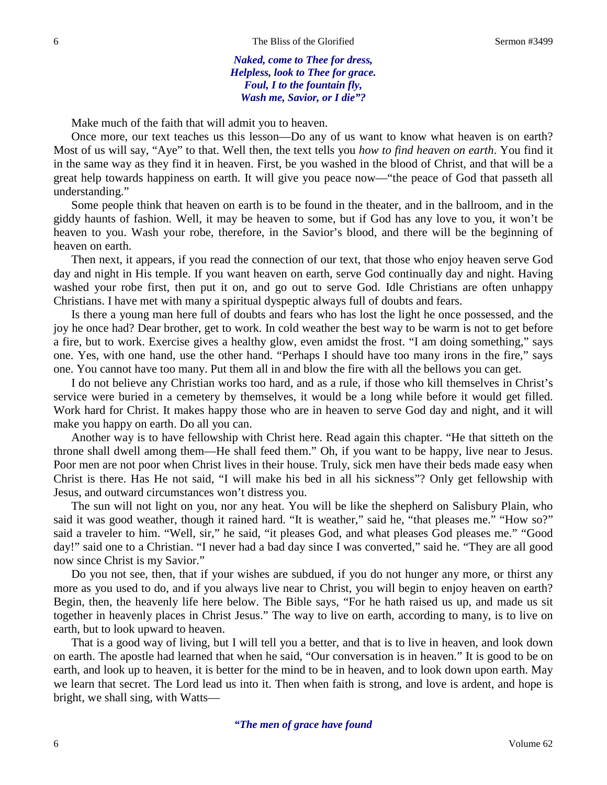*Naked, come to Thee for dress, Helpless, look to Thee for grace. Foul, I to the fountain fly, Wash me, Savior, or I die"?*

Make much of the faith that will admit you to heaven.

Once more, our text teaches us this lesson—Do any of us want to know what heaven is on earth? Most of us will say, "Aye" to that. Well then, the text tells you *how to find heaven on earth*. You find it in the same way as they find it in heaven. First, be you washed in the blood of Christ, and that will be a great help towards happiness on earth. It will give you peace now—"the peace of God that passeth all understanding."

Some people think that heaven on earth is to be found in the theater, and in the ballroom, and in the giddy haunts of fashion. Well, it may be heaven to some, but if God has any love to you, it won't be heaven to you. Wash your robe, therefore, in the Savior's blood, and there will be the beginning of heaven on earth.

Then next, it appears, if you read the connection of our text, that those who enjoy heaven serve God day and night in His temple. If you want heaven on earth, serve God continually day and night. Having washed your robe first, then put it on, and go out to serve God. Idle Christians are often unhappy Christians. I have met with many a spiritual dyspeptic always full of doubts and fears.

Is there a young man here full of doubts and fears who has lost the light he once possessed, and the joy he once had? Dear brother, get to work. In cold weather the best way to be warm is not to get before a fire, but to work. Exercise gives a healthy glow, even amidst the frost. "I am doing something," says one. Yes, with one hand, use the other hand. "Perhaps I should have too many irons in the fire," says one. You cannot have too many. Put them all in and blow the fire with all the bellows you can get.

I do not believe any Christian works too hard, and as a rule, if those who kill themselves in Christ's service were buried in a cemetery by themselves, it would be a long while before it would get filled. Work hard for Christ. It makes happy those who are in heaven to serve God day and night, and it will make you happy on earth. Do all you can.

Another way is to have fellowship with Christ here. Read again this chapter. "He that sitteth on the throne shall dwell among them—He shall feed them." Oh, if you want to be happy, live near to Jesus. Poor men are not poor when Christ lives in their house. Truly, sick men have their beds made easy when Christ is there. Has He not said, "I will make his bed in all his sickness"? Only get fellowship with Jesus, and outward circumstances won't distress you.

The sun will not light on you, nor any heat. You will be like the shepherd on Salisbury Plain, who said it was good weather, though it rained hard. "It is weather," said he, "that pleases me." "How so?" said a traveler to him. "Well, sir," he said, "it pleases God, and what pleases God pleases me." "Good day!" said one to a Christian. "I never had a bad day since I was converted," said he. "They are all good now since Christ is my Savior."

Do you not see, then, that if your wishes are subdued, if you do not hunger any more, or thirst any more as you used to do, and if you always live near to Christ, you will begin to enjoy heaven on earth? Begin, then, the heavenly life here below. The Bible says, "For he hath raised us up, and made us sit together in heavenly places in Christ Jesus." The way to live on earth, according to many, is to live on earth, but to look upward to heaven.

That is a good way of living, but I will tell you a better, and that is to live in heaven, and look down on earth. The apostle had learned that when he said, "Our conversation is in heaven." It is good to be on earth, and look up to heaven, it is better for the mind to be in heaven, and to look down upon earth. May we learn that secret. The Lord lead us into it. Then when faith is strong, and love is ardent, and hope is bright, we shall sing, with Watts—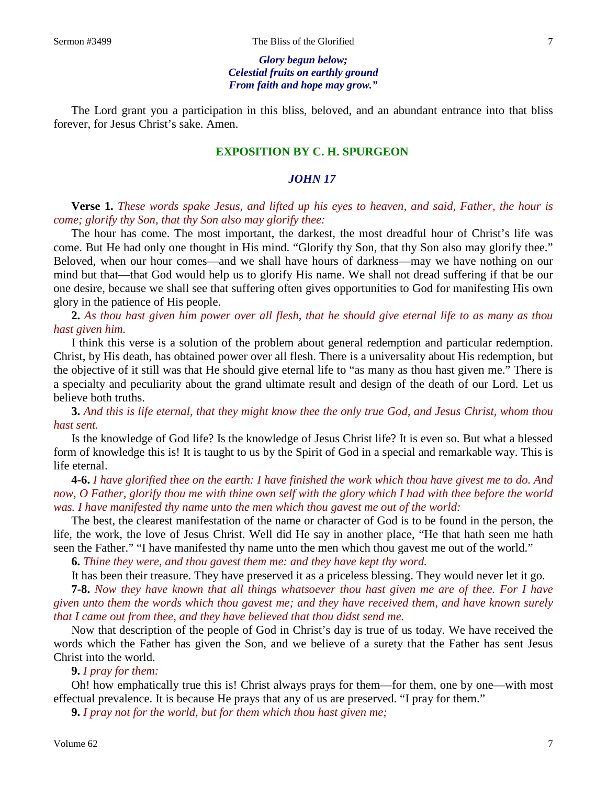*Glory begun below; Celestial fruits on earthly ground From faith and hope may grow."*

The Lord grant you a participation in this bliss, beloved, and an abundant entrance into that bliss forever, for Jesus Christ's sake. Amen.

## **EXPOSITION BY C. H. SPURGEON**

# *JOHN 17*

**Verse 1.** *These words spake Jesus, and lifted up his eyes to heaven, and said, Father, the hour is come; glorify thy Son, that thy Son also may glorify thee:*

The hour has come. The most important, the darkest, the most dreadful hour of Christ's life was come. But He had only one thought in His mind. "Glorify thy Son, that thy Son also may glorify thee." Beloved, when our hour comes—and we shall have hours of darkness—may we have nothing on our mind but that—that God would help us to glorify His name. We shall not dread suffering if that be our one desire, because we shall see that suffering often gives opportunities to God for manifesting His own glory in the patience of His people.

**2.** *As thou hast given him power over all flesh, that he should give eternal life to as many as thou hast given him.* 

I think this verse is a solution of the problem about general redemption and particular redemption. Christ, by His death, has obtained power over all flesh. There is a universality about His redemption, but the objective of it still was that He should give eternal life to "as many as thou hast given me." There is a specialty and peculiarity about the grand ultimate result and design of the death of our Lord. Let us believe both truths.

**3.** *And this is life eternal, that they might know thee the only true God, and Jesus Christ, whom thou hast sent.* 

Is the knowledge of God life? Is the knowledge of Jesus Christ life? It is even so. But what a blessed form of knowledge this is! It is taught to us by the Spirit of God in a special and remarkable way. This is life eternal.

**4-6.** *I have glorified thee on the earth: I have finished the work which thou have givest me to do. And now, O Father, glorify thou me with thine own self with the glory which I had with thee before the world was. I have manifested thy name unto the men which thou gavest me out of the world:*

The best, the clearest manifestation of the name or character of God is to be found in the person, the life, the work, the love of Jesus Christ. Well did He say in another place, "He that hath seen me hath seen the Father." "I have manifested thy name unto the men which thou gavest me out of the world."

**6.** *Thine they were, and thou gavest them me: and they have kept thy word.*

It has been their treasure. They have preserved it as a priceless blessing. They would never let it go.

**7-8.** *Now they have known that all things whatsoever thou hast given me are of thee. For I have given unto them the words which thou gavest me; and they have received them, and have known surely that I came out from thee, and they have believed that thou didst send me.*

Now that description of the people of God in Christ's day is true of us today. We have received the words which the Father has given the Son, and we believe of a surety that the Father has sent Jesus Christ into the world.

### **9.** *I pray for them:*

Oh! how emphatically true this is! Christ always prays for them—for them, one by one—with most effectual prevalence. It is because He prays that any of us are preserved. "I pray for them."

**9.** *I pray not for the world, but for them which thou hast given me;*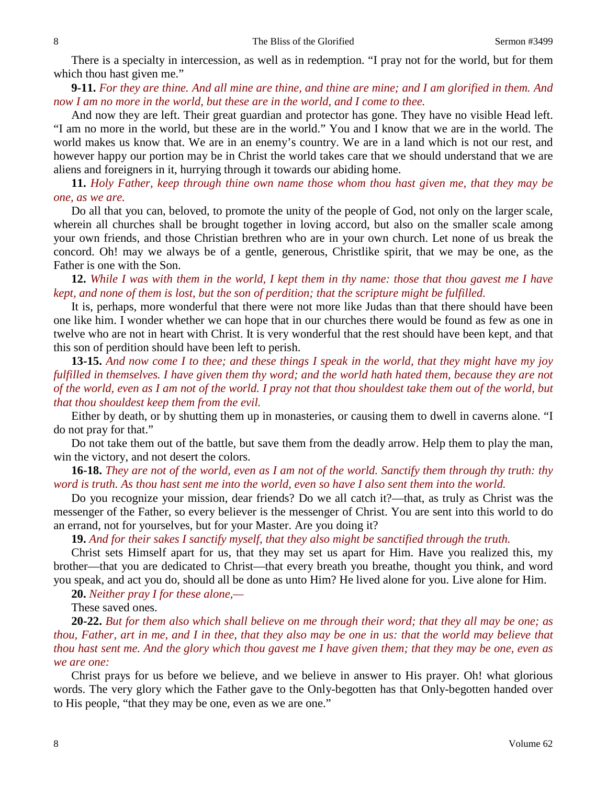There is a specialty in intercession, as well as in redemption. "I pray not for the world, but for them which thou hast given me."

**9-11.** *For they are thine. And all mine are thine, and thine are mine; and I am glorified in them. And now I am no more in the world, but these are in the world, and I come to thee.*

And now they are left. Their great guardian and protector has gone. They have no visible Head left. "I am no more in the world, but these are in the world." You and I know that we are in the world. The world makes us know that. We are in an enemy's country. We are in a land which is not our rest, and however happy our portion may be in Christ the world takes care that we should understand that we are aliens and foreigners in it, hurrying through it towards our abiding home.

**11.** *Holy Father, keep through thine own name those whom thou hast given me, that they may be one, as we are.*

Do all that you can, beloved, to promote the unity of the people of God, not only on the larger scale, wherein all churches shall be brought together in loving accord, but also on the smaller scale among your own friends, and those Christian brethren who are in your own church. Let none of us break the concord. Oh! may we always be of a gentle, generous, Christlike spirit, that we may be one, as the Father is one with the Son.

**12.** *While I was with them in the world, I kept them in thy name: those that thou gavest me I have kept, and none of them is lost, but the son of perdition; that the scripture might be fulfilled.* 

It is, perhaps, more wonderful that there were not more like Judas than that there should have been one like him. I wonder whether we can hope that in our churches there would be found as few as one in twelve who are not in heart with Christ. It is very wonderful that the rest should have been kept*,* and that this son of perdition should have been left to perish.

**13-15.** *And now come I to thee; and these things I speak in the world, that they might have my joy fulfilled in themselves. I have given them thy word; and the world hath hated them, because they are not of the world, even as I am not of the world. I pray not that thou shouldest take them out of the world, but that thou shouldest keep them from the evil.*

Either by death, or by shutting them up in monasteries, or causing them to dwell in caverns alone. "I do not pray for that."

Do not take them out of the battle, but save them from the deadly arrow. Help them to play the man, win the victory, and not desert the colors.

**16-18.** *They are not of the world, even as I am not of the world. Sanctify them through thy truth: thy word is truth. As thou hast sent me into the world, even so have I also sent them into the world.* 

Do you recognize your mission, dear friends? Do we all catch it?—that, as truly as Christ was the messenger of the Father, so every believer is the messenger of Christ. You are sent into this world to do an errand, not for yourselves, but for your Master. Are you doing it?

**19.** *And for their sakes I sanctify myself, that they also might be sanctified through the truth.* 

Christ sets Himself apart for us, that they may set us apart for Him. Have you realized this, my brother—that you are dedicated to Christ—that every breath you breathe, thought you think, and word you speak, and act you do, should all be done as unto Him? He lived alone for you. Live alone for Him.

**20.** *Neither pray I for these alone,—*

These saved ones.

**20-22.** *But for them also which shall believe on me through their word; that they all may be one; as thou, Father, art in me, and I in thee, that they also may be one in us: that the world may believe that thou hast sent me. And the glory which thou gavest me I have given them; that they may be one, even as we are one:*

Christ prays for us before we believe, and we believe in answer to His prayer. Oh! what glorious words. The very glory which the Father gave to the Only-begotten has that Only-begotten handed over to His people, "that they may be one, even as we are one."